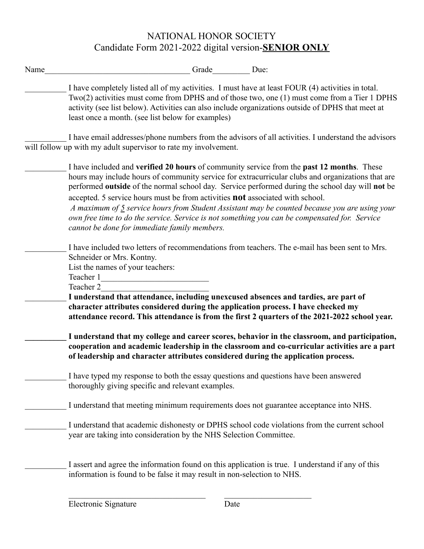# NATIONAL HONOR SOCIETY Candidate Form 2021-2022 digital version-**SENIOR ONLY**

| Name | Grade Due:                                                                                                                                                                                                                                                                                                                                                                                                                                                                                                                                                                                                                           |
|------|--------------------------------------------------------------------------------------------------------------------------------------------------------------------------------------------------------------------------------------------------------------------------------------------------------------------------------------------------------------------------------------------------------------------------------------------------------------------------------------------------------------------------------------------------------------------------------------------------------------------------------------|
|      | I have completely listed all of my activities. I must have at least FOUR (4) activities in total.<br>$Two(2)$ activities must come from DPHS and of those two, one $(1)$ must come from a Tier 1 DPHS<br>activity (see list below). Activities can also include organizations outside of DPHS that meet at<br>least once a month. (see list below for examples)                                                                                                                                                                                                                                                                      |
|      | I have email addresses/phone numbers from the advisors of all activities. I understand the advisors<br>will follow up with my adult supervisor to rate my involvement.                                                                                                                                                                                                                                                                                                                                                                                                                                                               |
|      | I have included and verified 20 hours of community service from the past 12 months. These<br>hours may include hours of community service for extracurricular clubs and organizations that are<br>performed outside of the normal school day. Service performed during the school day will not be<br>accepted. 5 service hours must be from activities not associated with school.<br>A maximum of 5 service hours from Student Assistant may be counted because you are using your<br>own free time to do the service. Service is not something you can be compensated for. Service<br>cannot be done for immediate family members. |
|      | I have included two letters of recommendations from teachers. The e-mail has been sent to Mrs.<br>Schneider or Mrs. Kontny.<br>List the names of your teachers:<br>Teacher 1<br><u> 1980 - Jan Barbara Barat, manala</u><br>Teacher 2<br>I understand that attendance, including unexcused absences and tardies, are part of<br>character attributes considered during the application process. I have checked my<br>attendance record. This attendance is from the first 2 quarters of the 2021-2022 school year.                                                                                                                   |
|      | I understand that my college and career scores, behavior in the classroom, and participation,<br>cooperation and academic leadership in the classroom and co-curricular activities are a part<br>of leadership and character attributes considered during the application process.                                                                                                                                                                                                                                                                                                                                                   |
|      | I have typed my response to both the essay questions and questions have been answered<br>thoroughly giving specific and relevant examples.                                                                                                                                                                                                                                                                                                                                                                                                                                                                                           |
|      | I understand that meeting minimum requirements does not guarantee acceptance into NHS.                                                                                                                                                                                                                                                                                                                                                                                                                                                                                                                                               |
|      | I understand that academic dishonesty or DPHS school code violations from the current school<br>year are taking into consideration by the NHS Selection Committee.                                                                                                                                                                                                                                                                                                                                                                                                                                                                   |
|      | I assert and agree the information found on this application is true. I understand if any of this<br>information is found to be false it may result in non-selection to NHS.                                                                                                                                                                                                                                                                                                                                                                                                                                                         |

 $\mathcal{L}_\text{max}$  , and the contribution of the contribution of  $\mathcal{L}_\text{max}$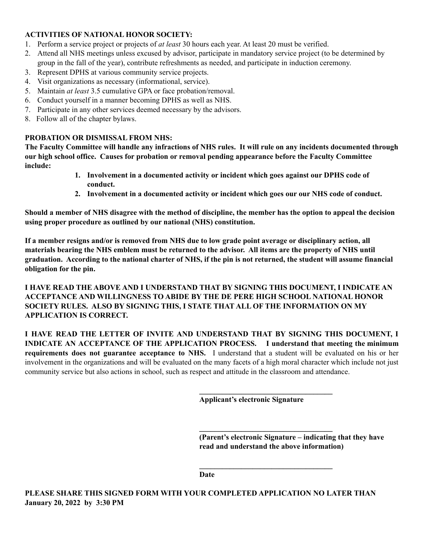#### **ACTIVITIES OF NATIONAL HONOR SOCIETY:**

- 1. Perform a service project or projects of *at least* 30 hours each year. At least 20 must be verified.
- 2. Attend all NHS meetings unless excused by advisor, participate in mandatory service project (to be determined by group in the fall of the year), contribute refreshments as needed, and participate in induction ceremony.
- 3. Represent DPHS at various community service projects.
- 4. Visit organizations as necessary (informational, service).
- 5. Maintain *at least* 3.5 cumulative GPA or face probation/removal.
- 6. Conduct yourself in a manner becoming DPHS as well as NHS.
- 7. Participate in any other services deemed necessary by the advisors.
- 8. Follow all of the chapter bylaws.

#### **PROBATION OR DISMISSAL FROM NHS:**

The Faculty Committee will handle any infractions of NHS rules. It will rule on any incidents documented through **our high school office. Causes for probation or removal pending appearance before the Faculty Committee include:**

- **1. Involvement in a documented activity or incident which goes against our DPHS code of conduct.**
- **2. Involvement in a documented activity or incident which goes our our NHS code of conduct.**

Should a member of NHS disagree with the method of discipline, the member has the option to appeal the decision **using proper procedure as outlined by our national (NHS) constitution.**

If a member resigns and/or is removed from NHS due to low grade point average or disciplinary action, all materials bearing the NHS emblem must be returned to the advisor. All items are the property of NHS until graduation. According to the national charter of NHS, if the pin is not returned, the student will assume financial **obligation for the pin.**

**I HAVE READ THE ABOVE AND I UNDERSTAND THAT BY SIGNING THIS DOCUMENT, I INDICATE AN ACCEPTANCE AND WILLINGNESS TO ABIDE BY THE DE PERE HIGH SCHOOL NATIONAL HONOR SOCIETY RULES. ALSO BY SIGNING THIS, I STATE THAT ALL OF THE INFORMATION ON MY APPLICATION IS CORRECT.**

**I HAVE READ THE LETTER OF INVITE AND UNDERSTAND THAT BY SIGNING THIS DOCUMENT, I INDICATE AN ACCEPTANCE OF THE APPLICATION PROCESS. I understand that meeting the minimum requirements does not guarantee acceptance to NHS.** I understand that a student will be evaluated on his or her involvement in the organizations and will be evaluated on the many facets of a high moral character which include not just community service but also actions in school, such as respect and attitude in the classroom and attendance.

**Applicant's electronic Signature**

**\_\_\_\_\_\_\_\_\_\_\_\_\_\_\_\_\_\_\_\_\_\_\_\_\_\_\_\_\_\_\_\_\_\_\_**

**\_\_\_\_\_\_\_\_\_\_\_\_\_\_\_\_\_\_\_\_\_\_\_\_\_\_\_\_\_\_\_\_\_\_\_**

**\_\_\_\_\_\_\_\_\_\_\_\_\_\_\_\_\_\_\_\_\_\_\_\_\_\_\_\_\_\_\_\_\_\_\_**

**(Parent's electronic Signature – indicating that they have read and understand the above information)**

**Date**

**PLEASE SHARE THIS SIGNED FORM WITH YOUR COMPLETED APPLICATION NO LATER THAN January 20, 2022 by 3:30 PM**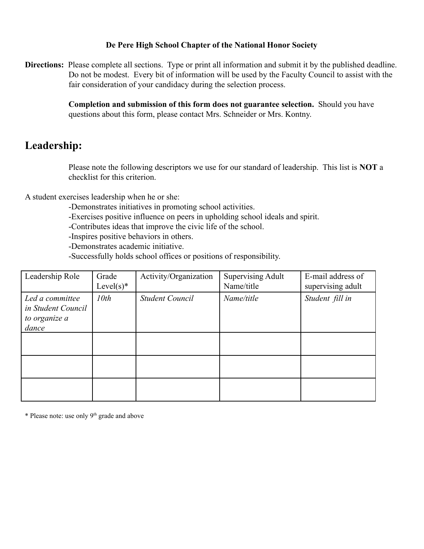#### **De Pere High School Chapter of the National Honor Society**

**Directions:** Please complete all sections. Type or print all information and submit it by the published deadline. Do not be modest. Every bit of information will be used by the Faculty Council to assist with the fair consideration of your candidacy during the selection process.

> **Completion and submission of this form does not guarantee selection.** Should you have questions about this form, please contact Mrs. Schneider or Mrs. Kontny.

## **Leadership:**

Please note the following descriptors we use for our standard of leadership. This list is **NOT** a checklist for this criterion.

A student exercises leadership when he or she:

- -Demonstrates initiatives in promoting school activities.
- -Exercises positive influence on peers in upholding school ideals and spirit.
- -Contributes ideas that improve the civic life of the school.
- -Inspires positive behaviors in others.
- -Demonstrates academic initiative.
- -Successfully holds school offices or positions of responsibility.

| Leadership Role                                                 | Grade<br>Level $(s)^*$ | Activity/Organization  | <b>Supervising Adult</b><br>Name/title | E-mail address of<br>supervising adult |
|-----------------------------------------------------------------|------------------------|------------------------|----------------------------------------|----------------------------------------|
| Led a committee<br>in Student Council<br>to organize a<br>dance | 10th                   | <b>Student Council</b> | Name/title                             | Student fill in                        |
|                                                                 |                        |                        |                                        |                                        |
|                                                                 |                        |                        |                                        |                                        |
|                                                                 |                        |                        |                                        |                                        |

\* Please note: use only 9<sup>th</sup> grade and above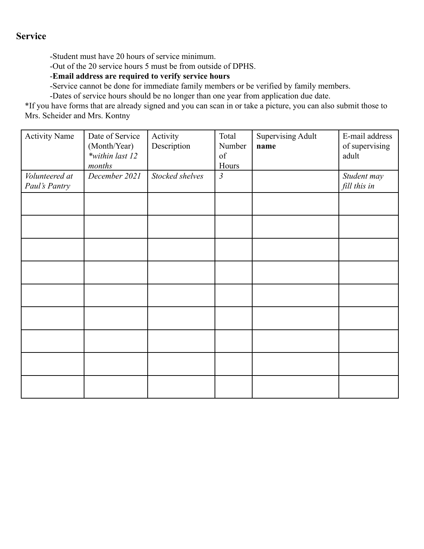### **Service**

-Student must have 20 hours of service minimum.

-Out of the 20 service hours 5 must be from outside of DPHS.

-**Email address are required to verify service hours**

-Service cannot be done for immediate family members or be verified by family members.

-Dates of service hours should be no longer than one year from application due date.

\*If you have forms that are already signed and you can scan in or take a picture, you can also submit those to Mrs. Scheider and Mrs. Kontny

| <b>Activity Name</b>            | Date of Service<br>(Month/Year)<br>*within last 12<br>months | Activity<br>Description | Total<br>Number<br>of<br>Hours | <b>Supervising Adult</b><br>name | E-mail address<br>of supervising<br>adult |
|---------------------------------|--------------------------------------------------------------|-------------------------|--------------------------------|----------------------------------|-------------------------------------------|
| Volunteered at<br>Paul's Pantry | December 2021                                                | Stocked shelves         | $\mathfrak{Z}$                 |                                  | Student may<br>fill this in               |
|                                 |                                                              |                         |                                |                                  |                                           |
|                                 |                                                              |                         |                                |                                  |                                           |
|                                 |                                                              |                         |                                |                                  |                                           |
|                                 |                                                              |                         |                                |                                  |                                           |
|                                 |                                                              |                         |                                |                                  |                                           |
|                                 |                                                              |                         |                                |                                  |                                           |
|                                 |                                                              |                         |                                |                                  |                                           |
|                                 |                                                              |                         |                                |                                  |                                           |
|                                 |                                                              |                         |                                |                                  |                                           |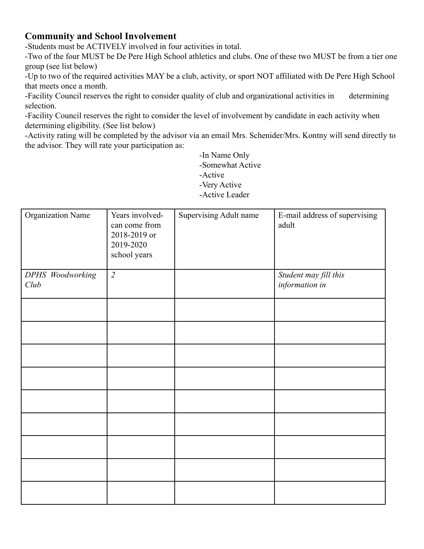### **Community and School Involvement**

-Students must be ACTIVELY involved in four activities in total.

-Two of the four MUST be De Pere High School athletics and clubs. One of these two MUST be from a tier one group (see list below)

-Up to two of the required activities MAY be a club, activity, or sport NOT affiliated with De Pere High School that meets once a month.

-Facility Council reserves the right to consider quality of club and organizational activities in determining selection.

-Facility Council reserves the right to consider the level of involvement by candidate in each activity when determining eligibility. (See list below)

-Activity rating will be completed by the advisor via an email Mrs. Schenider/Mrs. Kontny will send directly to the advisor. They will rate your participation as:

> -In Name Only -Somewhat Active -Active

-Very Active

-Active Leader

| <b>Organization Name</b> | Years involved-<br>can come from<br>2018-2019 or<br>2019-2020<br>school years | Supervising Adult name | E-mail address of supervising<br>adult  |
|--------------------------|-------------------------------------------------------------------------------|------------------------|-----------------------------------------|
| DPHS Woodworking<br>Club | $\overline{2}$                                                                |                        | Student may fill this<br>information in |
|                          |                                                                               |                        |                                         |
|                          |                                                                               |                        |                                         |
|                          |                                                                               |                        |                                         |
|                          |                                                                               |                        |                                         |
|                          |                                                                               |                        |                                         |
|                          |                                                                               |                        |                                         |
|                          |                                                                               |                        |                                         |
|                          |                                                                               |                        |                                         |
|                          |                                                                               |                        |                                         |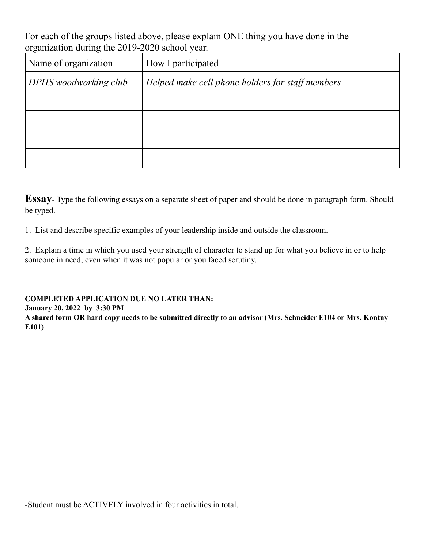For each of the groups listed above, please explain ONE thing you have done in the organization during the 2019-2020 school year.

| Name of organization  | How I participated                               |
|-----------------------|--------------------------------------------------|
| DPHS woodworking club | Helped make cell phone holders for staff members |
|                       |                                                  |
|                       |                                                  |
|                       |                                                  |
|                       |                                                  |

**Essay**- Type the following essays on a separate sheet of paper and should be done in paragraph form. Should be typed.

1. List and describe specific examples of your leadership inside and outside the classroom.

2. Explain a time in which you used your strength of character to stand up for what you believe in or to help someone in need; even when it was not popular or you faced scrutiny.

**COMPLETED APPLICATION DUE NO LATER THAN: January 20, 2022 by 3:30 PM** A shared form OR hard copy needs to be submitted directly to an advisor (Mrs. Schneider E104 or Mrs. Kontny **E101)**

-Student must be ACTIVELY involved in four activities in total.